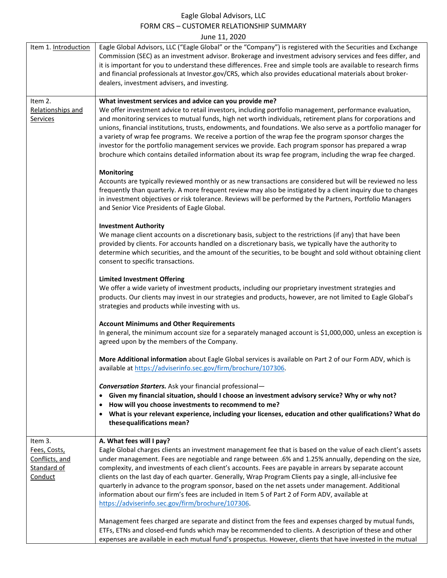#### Eagle Global Advisors, LLC FORM CRS – CUSTOMER RELATIONSHIP SUMMARY June 11, 2020

|                                                                     | JUNE 11, ZUZU                                                                                                                                                                                                                                                                                                                                                                                                                                                                                                                                                                                                                                                                                                                      |
|---------------------------------------------------------------------|------------------------------------------------------------------------------------------------------------------------------------------------------------------------------------------------------------------------------------------------------------------------------------------------------------------------------------------------------------------------------------------------------------------------------------------------------------------------------------------------------------------------------------------------------------------------------------------------------------------------------------------------------------------------------------------------------------------------------------|
| Item 1. Introduction                                                | Eagle Global Advisors, LLC ("Eagle Global" or the "Company") is registered with the Securities and Exchange<br>Commission (SEC) as an investment advisor. Brokerage and investment advisory services and fees differ, and<br>it is important for you to understand these differences. Free and simple tools are available to research firms<br>and financial professionals at Investor.gov/CRS, which also provides educational materials about broker-<br>dealers, investment advisers, and investing.                                                                                                                                                                                                                            |
| Item 2.<br>Relationships and<br><b>Services</b>                     | What investment services and advice can you provide me?<br>We offer investment advice to retail investors, including portfolio management, performance evaluation,<br>and monitoring services to mutual funds, high net worth individuals, retirement plans for corporations and<br>unions, financial institutions, trusts, endowments, and foundations. We also serve as a portfolio manager for<br>a variety of wrap fee programs. We receive a portion of the wrap fee the program sponsor charges the<br>investor for the portfolio management services we provide. Each program sponsor has prepared a wrap<br>brochure which contains detailed information about its wrap fee program, including the wrap fee charged.       |
|                                                                     | <b>Monitoring</b><br>Accounts are typically reviewed monthly or as new transactions are considered but will be reviewed no less<br>frequently than quarterly. A more frequent review may also be instigated by a client inquiry due to changes<br>in investment objectives or risk tolerance. Reviews will be performed by the Partners, Portfolio Managers<br>and Senior Vice Presidents of Eagle Global.                                                                                                                                                                                                                                                                                                                         |
|                                                                     | <b>Investment Authority</b><br>We manage client accounts on a discretionary basis, subject to the restrictions (if any) that have been<br>provided by clients. For accounts handled on a discretionary basis, we typically have the authority to<br>determine which securities, and the amount of the securities, to be bought and sold without obtaining client<br>consent to specific transactions.                                                                                                                                                                                                                                                                                                                              |
|                                                                     | <b>Limited Investment Offering</b><br>We offer a wide variety of investment products, including our proprietary investment strategies and<br>products. Our clients may invest in our strategies and products, however, are not limited to Eagle Global's<br>strategies and products while investing with us.                                                                                                                                                                                                                                                                                                                                                                                                                       |
|                                                                     | <b>Account Minimums and Other Requirements</b><br>In general, the minimum account size for a separately managed account is \$1,000,000, unless an exception is<br>agreed upon by the members of the Company.                                                                                                                                                                                                                                                                                                                                                                                                                                                                                                                       |
|                                                                     | More Additional information about Eagle Global services is available on Part 2 of our Form ADV, which is<br>available at https://adviserinfo.sec.gov/firm/brochure/107306.                                                                                                                                                                                                                                                                                                                                                                                                                                                                                                                                                         |
|                                                                     | <b>Conversation Starters.</b> Ask your financial professional-<br>• Given my financial situation, should I choose an investment advisory service? Why or why not?<br>How will you choose investments to recommend to me?<br>What is your relevant experience, including your licenses, education and other qualifications? What do<br>$\bullet$<br>these qualifications mean?                                                                                                                                                                                                                                                                                                                                                      |
| Item 3.<br>Fees, Costs,<br>Conflicts, and<br>Standard of<br>Conduct | A. What fees will I pay?<br>Eagle Global charges clients an investment management fee that is based on the value of each client's assets<br>under management. Fees are negotiable and range between .6% and 1.25% annually, depending on the size,<br>complexity, and investments of each client's accounts. Fees are payable in arrears by separate account<br>clients on the last day of each quarter. Generally, Wrap Program Clients pay a single, all-inclusive fee<br>quarterly in advance to the program sponsor, based on the net assets under management. Additional<br>information about our firm's fees are included in Item 5 of Part 2 of Form ADV, available at<br>https://adviserinfo.sec.gov/firm/brochure/107306. |
|                                                                     | Management fees charged are separate and distinct from the fees and expenses charged by mutual funds,<br>ETFs, ETNs and closed-end funds which may be recommended to clients. A description of these and other<br>expenses are available in each mutual fund's prospectus. However, clients that have invested in the mutual                                                                                                                                                                                                                                                                                                                                                                                                       |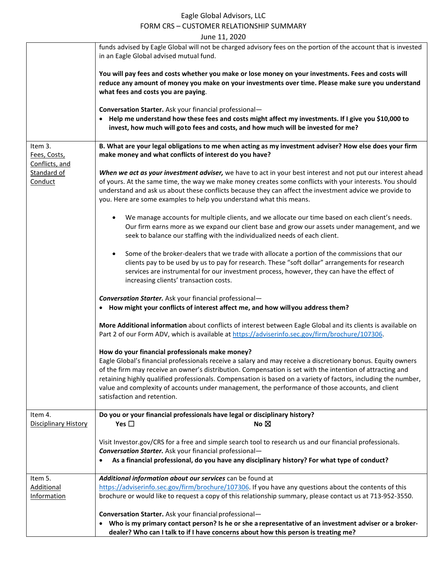#### Eagle Global Advisors, LLC FORM CRS – CUSTOMER RELATIONSHIP SUMMARY

| June 11, 2020                                                                                                                                    |                                                                                                                                                                                                                                                                                                                                                                                                                                                                                                                                   |  |  |  |
|--------------------------------------------------------------------------------------------------------------------------------------------------|-----------------------------------------------------------------------------------------------------------------------------------------------------------------------------------------------------------------------------------------------------------------------------------------------------------------------------------------------------------------------------------------------------------------------------------------------------------------------------------------------------------------------------------|--|--|--|
|                                                                                                                                                  | funds advised by Eagle Global will not be charged advisory fees on the portion of the account that is invested<br>in an Eagle Global advised mutual fund.                                                                                                                                                                                                                                                                                                                                                                         |  |  |  |
|                                                                                                                                                  | You will pay fees and costs whether you make or lose money on your investments. Fees and costs will<br>reduce any amount of money you make on your investments over time. Please make sure you understand<br>what fees and costs you are paying.                                                                                                                                                                                                                                                                                  |  |  |  |
|                                                                                                                                                  | Conversation Starter. Ask your financial professional-<br>• Help me understand how these fees and costs might affect my investments. If I give you \$10,000 to<br>invest, how much will go to fees and costs, and how much will be invested for me?                                                                                                                                                                                                                                                                               |  |  |  |
| Item 3.<br>Fees, Costs,<br>Conflicts, and<br>Standard of<br>Conduct                                                                              | B. What are your legal obligations to me when acting as my investment adviser? How else does your firm<br>make money and what conflicts of interest do you have?                                                                                                                                                                                                                                                                                                                                                                  |  |  |  |
|                                                                                                                                                  | When we act as your investment adviser, we have to act in your best interest and not put our interest ahead<br>of yours. At the same time, the way we make money creates some conflicts with your interests. You should<br>understand and ask us about these conflicts because they can affect the investment advice we provide to<br>you. Here are some examples to help you understand what this means.                                                                                                                         |  |  |  |
|                                                                                                                                                  | We manage accounts for multiple clients, and we allocate our time based on each client's needs.<br>$\bullet$<br>Our firm earns more as we expand our client base and grow our assets under management, and we<br>seek to balance our staffing with the individualized needs of each client.                                                                                                                                                                                                                                       |  |  |  |
|                                                                                                                                                  | Some of the broker-dealers that we trade with allocate a portion of the commissions that our<br>$\bullet$<br>clients pay to be used by us to pay for research. These "soft dollar" arrangements for research<br>services are instrumental for our investment process, however, they can have the effect of<br>increasing clients' transaction costs.                                                                                                                                                                              |  |  |  |
| <b>Conversation Starter.</b> Ask your financial professional-<br>• How might your conflicts of interest affect me, and how willyou address them? |                                                                                                                                                                                                                                                                                                                                                                                                                                                                                                                                   |  |  |  |
|                                                                                                                                                  | More Additional information about conflicts of interest between Eagle Global and its clients is available on<br>Part 2 of our Form ADV, which is available at https://adviserinfo.sec.gov/firm/brochure/107306.                                                                                                                                                                                                                                                                                                                   |  |  |  |
|                                                                                                                                                  | How do your financial professionals make money?<br>Eagle Global's financial professionals receive a salary and may receive a discretionary bonus. Equity owners<br>of the firm may receive an owner's distribution. Compensation is set with the intention of attracting and<br>retaining highly qualified professionals. Compensation is based on a variety of factors, including the number,<br>value and complexity of accounts under management, the performance of those accounts, and client<br>satisfaction and retention. |  |  |  |
| Item 4.<br><b>Disciplinary History</b>                                                                                                           | Do you or your financial professionals have legal or disciplinary history?<br>Yes $\square$<br>No $\boxtimes$                                                                                                                                                                                                                                                                                                                                                                                                                     |  |  |  |
|                                                                                                                                                  | Visit Investor.gov/CRS for a free and simple search tool to research us and our financial professionals.<br><b>Conversation Starter.</b> Ask your financial professional-<br>As a financial professional, do you have any disciplinary history? For what type of conduct?                                                                                                                                                                                                                                                         |  |  |  |
| Item 5.<br><b>Additional</b><br>Information                                                                                                      | Additional information about our services can be found at<br>https://adviserinfo.sec.gov/firm/brochure/107306. If you have any questions about the contents of this<br>brochure or would like to request a copy of this relationship summary, please contact us at 713-952-3550.                                                                                                                                                                                                                                                  |  |  |  |
|                                                                                                                                                  | Conversation Starter. Ask your financial professional-<br>• Who is my primary contact person? Is he or she a representative of an investment adviser or a broker-<br>dealer? Who can I talk to if I have concerns about how this person is treating me?                                                                                                                                                                                                                                                                           |  |  |  |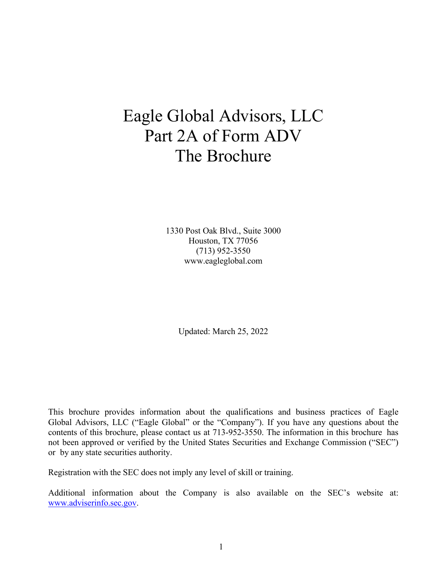# Eagle Global Advisors, LLC Part 2A of Form ADV The Brochure

1330 Post Oak Blvd., Suite 3000 Houston, TX 77056 (713) 952-3550 [www.eagleglobal.com](http://www.eagleglobal.com/)

Updated: March 25, 2022

This brochure provides information about the qualifications and business practices of Eagle Global Advisors, LLC ("Eagle Global" or the "Company"). If you have any questions about the contents of this brochure, please contact us at 713-952-3550. The information in this brochure has not been approved or verified by the United States Securities and Exchange Commission ("SEC") or by any state securities authority.

Registration with the SEC does not imply any level of skill or training.

Additional information about the Company is also available on the SEC's website at: [www.adviserinfo.sec.gov.](http://www.adviserinfo.sec.gov/)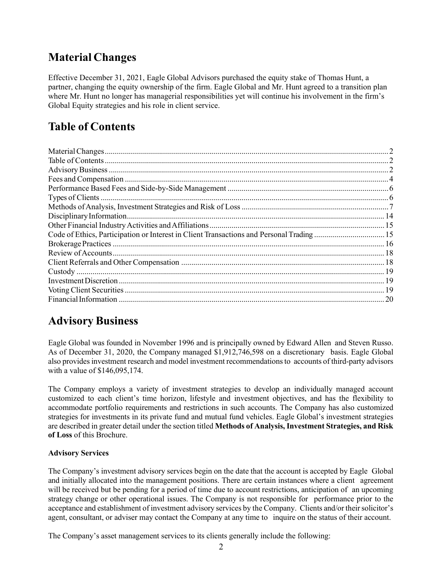# <span id="page-3-0"></span>**Material Changes**

Effective December 31, 2021, Eagle Global Advisors purchased the equity stake of Thomas Hunt, a partner, changing the equity ownership of the firm. Eagle Global and Mr. Hunt agreed to a transition plan where Mr. Hunt no longer has managerial responsibilities yet will continue his involvement in the firm's Global Equity strategies and his role in client service.

# <span id="page-3-1"></span>**Table of Contents**

| Code of Ethics, Participation or Interest in Client Transactions and Personal Trading  15 |    |
|-------------------------------------------------------------------------------------------|----|
|                                                                                           |    |
|                                                                                           |    |
|                                                                                           |    |
|                                                                                           |    |
|                                                                                           |    |
|                                                                                           |    |
|                                                                                           | 20 |
|                                                                                           |    |

# <span id="page-3-2"></span>**Advisory Business**

Eagle Global was founded in November 1996 and is principally owned by Edward Allen and Steven Russo. As of December 31, 2020, the Company managed \$1,912,746,598 on a discretionary basis. Eagle Global also provides investment research and model investment recommendations to accounts of third-party advisors with a value of \$146,095,174.

The Company employs a variety of investment strategies to develop an individually managed account customized to each client's time horizon, lifestyle and investment objectives, and has the flexibility to accommodate portfolio requirements and restrictions in such accounts. The Company has also customized strategies for investments in its private fund and mutual fund vehicles. Eagle Global's investment strategies are described in greater detail under the section titled **Methods of Analysis, Investment Strategies, and Risk of Loss** of this Brochure.

#### **Advisory Services**

The Company's investment advisory services begin on the date that the account is accepted by Eagle Global and initially allocated into the management positions. There are certain instances where a client agreement will be received but be pending for a period of time due to account restrictions, anticipation of an upcoming strategy change or other operational issues. The Company is not responsible for performance prior to the acceptance and establishment of investment advisory services by the Company. Clients and/or their solicitor's agent, consultant, or adviser may contact the Company at any time to inquire on the status of their account.

The Company's asset management services to its clients generally include the following: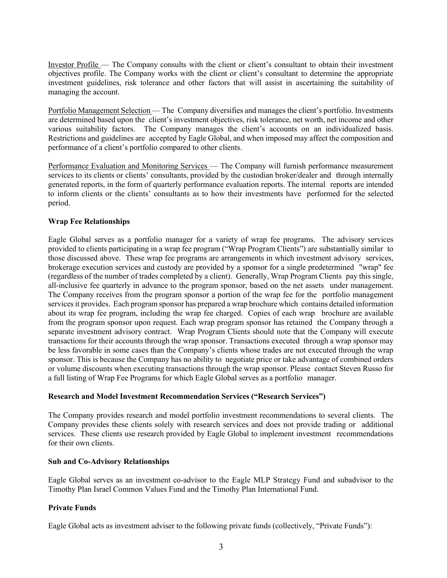Investor Profile — The Company consults with the client or client's consultant to obtain their investment objectives profile. The Company works with the client or client's consultant to determine the appropriate investment guidelines, risk tolerance and other factors that will assist in ascertaining the suitability of managing the account.

Portfolio Management Selection — The Company diversifies and manages the client's portfolio. Investments are determined based upon the client's investment objectives, risk tolerance, net worth, net income and other various suitability factors. The Company manages the client's accounts on an individualized basis. Restrictions and guidelines are accepted by Eagle Global, and when imposed may affect the composition and performance of a client's portfolio compared to other clients.

Performance Evaluation and Monitoring Services — The Company will furnish performance measurement services to its clients or clients' consultants, provided by the custodian broker/dealer and through internally generated reports, in the form of quarterly performance evaluation reports. The internal reports are intended to inform clients or the clients' consultants as to how their investments have performed for the selected period.

#### **Wrap Fee Relationships**

Eagle Global serves as a portfolio manager for a variety of wrap fee programs. The advisory services provided to clients participating in a wrap fee program ("Wrap Program Clients") are substantially similar to those discussed above. These wrap fee programs are arrangements in which investment advisory services, brokerage execution services and custody are provided by a sponsor for a single predetermined "wrap" fee (regardless of the number of trades completed by a client). Generally, Wrap Program Clients pay this single, all-inclusive fee quarterly in advance to the program sponsor, based on the net assets under management. The Company receives from the program sponsor a portion of the wrap fee for the portfolio management services it provides. Each program sponsor has prepared a wrap brochure which contains detailed information about its wrap fee program, including the wrap fee charged. Copies of each wrap brochure are available from the program sponsor upon request. Each wrap program sponsor has retained the Company through a separate investment advisory contract. Wrap Program Clients should note that the Company will execute transactions for their accounts through the wrap sponsor. Transactions executed through a wrap sponsor may be less favorable in some cases than the Company's clients whose trades are not executed through the wrap sponsor. This is because the Company has no ability to negotiate price or take advantage of combined orders or volume discounts when executing transactions through the wrap sponsor. Please contact Steven Russo for a full listing of Wrap Fee Programs for which Eagle Global serves as a portfolio manager.

#### **Research and Model Investment Recommendation Services ("Research Services")**

The Company provides research and model portfolio investment recommendations to several clients. The Company provides these clients solely with research services and does not provide trading or additional services. These clients use research provided by Eagle Global to implement investment recommendations for their own clients.

#### **Sub and Co-Advisory Relationships**

Eagle Global serves as an investment co-advisor to the Eagle MLP Strategy Fund and subadvisor to the Timothy Plan Israel Common Values Fund and the Timothy Plan International Fund.

#### **Private Funds**

Eagle Global acts as investment adviser to the following private funds (collectively, "Private Funds"):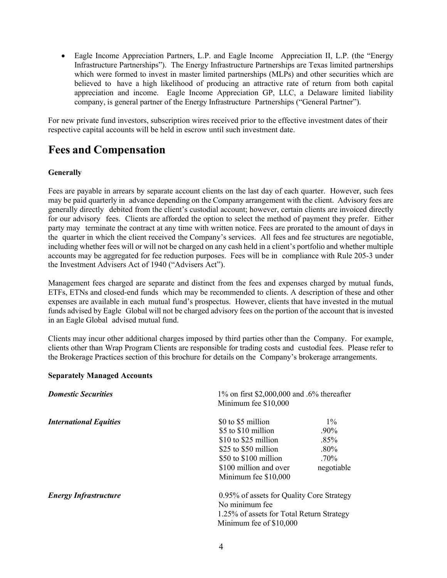• Eagle Income Appreciation Partners, L.P. and Eagle Income Appreciation II, L.P. (the "Energy Infrastructure Partnerships"). The Energy Infrastructure Partnerships are Texas limited partnerships which were formed to invest in master limited partnerships (MLPs) and other securities which are believed to have a high likelihood of producing an attractive rate of return from both capital appreciation and income. Eagle Income Appreciation GP, LLC, a Delaware limited liability company, is general partner of the Energy Infrastructure Partnerships ("General Partner").

For new private fund investors, subscription wires received prior to the effective investment dates of their respective capital accounts will be held in escrow until such investment date.

### <span id="page-5-0"></span>**Fees and Compensation**

#### **Generally**

Fees are payable in arrears by separate account clients on the last day of each quarter. However, such fees may be paid quarterly in advance depending on the Company arrangement with the client. Advisory fees are generally directly debited from the client's custodial account; however, certain clients are invoiced directly for our advisory fees. Clients are afforded the option to select the method of payment they prefer. Either party may terminate the contract at any time with written notice. Fees are prorated to the amount of days in the quarter in which the client received the Company's services. All fees and fee structures are negotiable, including whether fees will or will not be charged on any cash held in a client's portfolio and whether multiple accounts may be aggregated for fee reduction purposes. Fees will be in compliance with Rule 205-3 under the Investment Advisers Act of 1940 ("Advisers Act").

Management fees charged are separate and distinct from the fees and expenses charged by mutual funds, ETFs, ETNs and closed-end funds which may be recommended to clients. A description of these and other expenses are available in each mutual fund's prospectus. However, clients that have invested in the mutual funds advised by Eagle Global will not be charged advisory fees on the portion of the account that is invested in an Eagle Global advised mutual fund.

Clients may incur other additional charges imposed by third parties other than the Company. For example, clients other than Wrap Program Clients are responsible for trading costs and custodial fees. Please refer to the Brokerage Practices section of this brochure for details on the Company's brokerage arrangements.

#### **Separately Managed Accounts**

| <b>Domestic Securities</b>    | 1% on first \$2,000,000 and .6% thereafter<br>Minimum fee \$10,000                                                                                                   |                                                                                        |  |
|-------------------------------|----------------------------------------------------------------------------------------------------------------------------------------------------------------------|----------------------------------------------------------------------------------------|--|
| <b>International Equities</b> | \$0 to \$5 million<br>\$5 to \$10 million<br>\$10 to \$25 million<br>\$25 to \$50 million<br>\$50 to \$100 million<br>\$100 million and over<br>Minimum fee \$10,000 | $1\%$<br>$.90\%$<br>$.85\%$<br>$.80\%$<br>$.70\%$<br>negotiable                        |  |
| <b>Energy Infrastructure</b>  | No minimum fee<br>Minimum fee of \$10,000                                                                                                                            | 0.95% of assets for Quality Core Strategy<br>1.25% of assets for Total Return Strategy |  |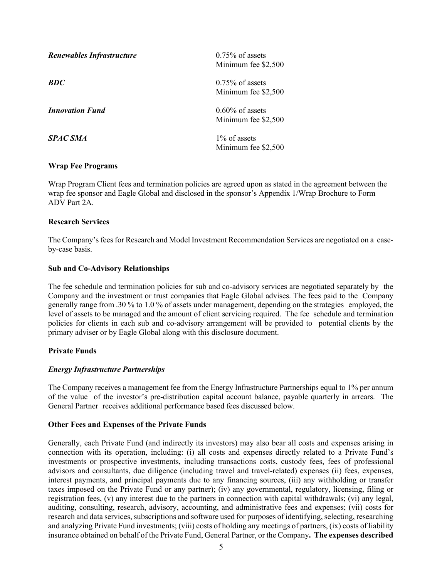| Renewables Infrastructure | $0.75\%$ of assets<br>Minimum fee \$2,500 |
|---------------------------|-------------------------------------------|
| <b>BDC</b>                | $0.75\%$ of assets<br>Minimum fee \$2,500 |
| <b>Innovation Fund</b>    | $0.60\%$ of assets<br>Minimum fee \$2,500 |
| <b>SPAC SMA</b>           | $1\%$ of assets<br>Minimum fee \$2,500    |

#### **Wrap Fee Programs**

Wrap Program Client fees and termination policies are agreed upon as stated in the agreement between the wrap fee sponsor and Eagle Global and disclosed in the sponsor's Appendix 1/Wrap Brochure to Form ADV Part 2A.

#### **Research Services**

The Company's fees for Research and Model Investment Recommendation Services are negotiated on a caseby-case basis.

#### **Sub and Co-Advisory Relationships**

The fee schedule and termination policies for sub and co-advisory services are negotiated separately by the Company and the investment or trust companies that Eagle Global advises. The fees paid to the Company generally range from .30 % to 1.0 % of assets under management, depending on the strategies employed, the level of assets to be managed and the amount of client servicing required. The fee schedule and termination policies for clients in each sub and co-advisory arrangement will be provided to potential clients by the primary adviser or by Eagle Global along with this disclosure document.

#### **Private Funds**

#### *Energy Infrastructure Partnerships*

The Company receives a management fee from the Energy Infrastructure Partnerships equal to 1% per annum of the value of the investor's pre-distribution capital account balance, payable quarterly in arrears. The General Partner receives additional performance based fees discussed below.

#### **Other Fees and Expenses of the Private Funds**

Generally, each Private Fund (and indirectly its investors) may also bear all costs and expenses arising in connection with its operation, including: (i) all costs and expenses directly related to a Private Fund's investments or prospective investments, including transactions costs, custody fees, fees of professional advisors and consultants, due diligence (including travel and travel-related) expenses (ii) fees, expenses, interest payments, and principal payments due to any financing sources, (iii) any withholding or transfer taxes imposed on the Private Fund or any partner); (iv) any governmental, regulatory, licensing, filing or registration fees, (v) any interest due to the partners in connection with capital withdrawals; (vi) any legal, auditing, consulting, research, advisory, accounting, and administrative fees and expenses; (vii) costs for research and data services, subscriptions and software used for purposes of identifying, selecting, researching and analyzing Private Fund investments; (viii) costs of holding any meetings of partners, (ix) costs of liability insurance obtained on behalf of the Private Fund, General Partner, or the Company**. The expenses described**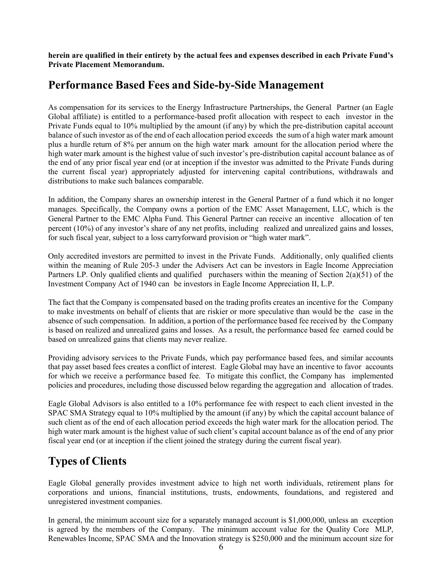**herein are qualified in their entirety by the actual fees and expenses described in each Private Fund's Private Placement Memorandum.** 

### <span id="page-7-0"></span>**Performance Based Fees and Side-by-Side Management**

As compensation for its services to the Energy Infrastructure Partnerships, the General Partner (an Eagle Global affiliate) is entitled to a performance-based profit allocation with respect to each investor in the Private Funds equal to 10% multiplied by the amount (if any) by which the pre-distribution capital account balance of such investor as of the end of each allocation period exceeds the sum of a high water mark amount plus a hurdle return of 8% per annum on the high water mark amount for the allocation period where the high water mark amount is the highest value of such investor's pre-distribution capital account balance as of the end of any prior fiscal year end (or at inception if the investor was admitted to the Private Funds during the current fiscal year) appropriately adjusted for intervening capital contributions, withdrawals and distributions to make such balances comparable.

In addition, the Company shares an ownership interest in the General Partner of a fund which it no longer manages. Specifically, the Company owns a portion of the EMC Asset Management, LLC, which is the General Partner to the EMC Alpha Fund. This General Partner can receive an incentive allocation of ten percent (10%) of any investor's share of any net profits, including realized and unrealized gains and losses, for such fiscal year, subject to a loss carryforward provision or "high water mark".

Only accredited investors are permitted to invest in the Private Funds. Additionally, only qualified clients within the meaning of Rule 205-3 under the Advisers Act can be investors in Eagle Income Appreciation Partners LP. Only qualified clients and qualified purchasers within the meaning of Section 2(a)(51) of the Investment Company Act of 1940 can be investors in Eagle Income Appreciation II, L.P.

The fact that the Company is compensated based on the trading profits creates an incentive for the Company to make investments on behalf of clients that are riskier or more speculative than would be the case in the absence of such compensation. In addition, a portion of the performance based fee received by the Company is based on realized and unrealized gains and losses. As a result, the performance based fee earned could be based on unrealized gains that clients may never realize.

Providing advisory services to the Private Funds, which pay performance based fees, and similar accounts that pay asset based fees creates a conflict of interest. Eagle Global may have an incentive to favor accounts for which we receive a performance based fee. To mitigate this conflict, the Company has implemented policies and procedures, including those discussed below regarding the aggregation and allocation of trades.

Eagle Global Advisors is also entitled to a 10% performance fee with respect to each client invested in the SPAC SMA Strategy equal to 10% multiplied by the amount (if any) by which the capital account balance of such client as of the end of each allocation period exceeds the high water mark for the allocation period. The high water mark amount is the highest value of such client's capital account balance as of the end of any prior fiscal year end (or at inception if the client joined the strategy during the current fiscal year).

# <span id="page-7-1"></span>**Types of Clients**

Eagle Global generally provides investment advice to high net worth individuals, retirement plans for corporations and unions, financial institutions, trusts, endowments, foundations, and registered and unregistered investment companies.

In general, the minimum account size for a separately managed account is \$1,000,000, unless an exception is agreed by the members of the Company. The minimum account value for the Quality Core MLP, Renewables Income, SPAC SMA and the Innovation strategy is \$250,000 and the minimum account size for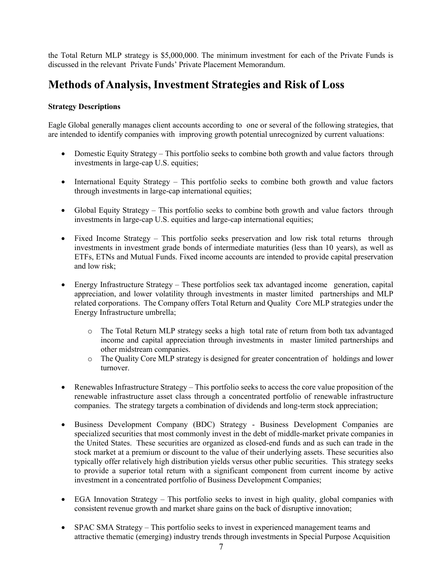the Total Return MLP strategy is \$5,000,000. The minimum investment for each of the Private Funds is discussed in the relevant Private Funds' Private Placement Memorandum.

### <span id="page-8-0"></span>**Methods of Analysis, Investment Strategies and Risk of Loss**

#### **Strategy Descriptions**

Eagle Global generally manages client accounts according to one or several of the following strategies, that are intended to identify companies with improving growth potential unrecognized by current valuations:

- Domestic Equity Strategy This portfolio seeks to combine both growth and value factors through investments in large-cap U.S. equities;
- International Equity Strategy This portfolio seeks to combine both growth and value factors through investments in large-cap international equities;
- Global Equity Strategy This portfolio seeks to combine both growth and value factors through investments in large-cap U.S. equities and large-cap international equities;
- Fixed Income Strategy This portfolio seeks preservation and low risk total returns through investments in investment grade bonds of intermediate maturities (less than 10 years), as well as ETFs, ETNs and Mutual Funds. Fixed income accounts are intended to provide capital preservation and low risk;
- Energy Infrastructure Strategy These portfolios seek tax advantaged income generation, capital appreciation, and lower volatility through investments in master limited partnerships and MLP related corporations. The Company offers Total Return and Quality Core MLP strategies under the Energy Infrastructure umbrella;
	- o The Total Return MLP strategy seeks a high total rate of return from both tax advantaged income and capital appreciation through investments in master limited partnerships and other midstream companies.
	- o The Quality Core MLP strategy is designed for greater concentration of holdings and lower turnover.
- Renewables Infrastructure Strategy This portfolio seeks to access the core value proposition of the renewable infrastructure asset class through a concentrated portfolio of renewable infrastructure companies. The strategy targets a combination of dividends and long-term stock appreciation;
- Business Development Company (BDC) Strategy Business Development Companies are specialized securities that most commonly invest in the debt of middle-market private companies in the United States. These securities are organized as closed-end funds and as such can trade in the stock market at a premium or discount to the value of their underlying assets. These securities also typically offer relatively high distribution yields versus other public securities. This strategy seeks to provide a superior total return with a significant component from current income by active investment in a concentrated portfolio of Business Development Companies;
- EGA Innovation Strategy This portfolio seeks to invest in high quality, global companies with consistent revenue growth and market share gains on the back of disruptive innovation;
- SPAC SMA Strategy This portfolio seeks to invest in experienced management teams and attractive thematic (emerging) industry trends through investments in Special Purpose Acquisition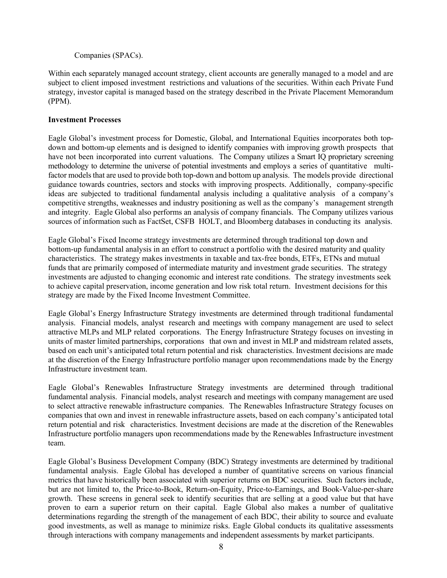#### Companies (SPACs).

Within each separately managed account strategy, client accounts are generally managed to a model and are subject to client imposed investment restrictions and valuations of the securities. Within each Private Fund strategy, investor capital is managed based on the strategy described in the Private Placement Memorandum (PPM).

#### **Investment Processes**

Eagle Global's investment process for Domestic, Global, and International Equities incorporates both topdown and bottom-up elements and is designed to identify companies with improving growth prospects that have not been incorporated into current valuations. The Company utilizes a Smart IQ proprietary screening methodology to determine the universe of potential investments and employs a series of quantitative multifactor models that are used to provide both top-down and bottom up analysis. The models provide directional guidance towards countries, sectors and stocks with improving prospects. Additionally, company-specific ideas are subjected to traditional fundamental analysis including a qualitative analysis of a company's competitive strengths, weaknesses and industry positioning as well as the company's management strength and integrity. Eagle Global also performs an analysis of company financials. The Company utilizes various sources of information such as FactSet, CSFB HOLT, and Bloomberg databases in conducting its analysis.

Eagle Global's Fixed Income strategy investments are determined through traditional top down and bottom-up fundamental analysis in an effort to construct a portfolio with the desired maturity and quality characteristics. The strategy makes investments in taxable and tax-free bonds, ETFs, ETNs and mutual funds that are primarily composed of intermediate maturity and investment grade securities. The strategy investments are adjusted to changing economic and interest rate conditions. The strategy investments seek to achieve capital preservation, income generation and low risk total return. Investment decisions for this strategy are made by the Fixed Income Investment Committee.

Eagle Global's Energy Infrastructure Strategy investments are determined through traditional fundamental analysis. Financial models, analyst research and meetings with company management are used to select attractive MLPs and MLP related corporations. The Energy Infrastructure Strategy focuses on investing in units of master limited partnerships, corporations that own and invest in MLP and midstream related assets, based on each unit's anticipated total return potential and risk characteristics. Investment decisions are made at the discretion of the Energy Infrastructure portfolio manager upon recommendations made by the Energy Infrastructure investment team.

Eagle Global's Renewables Infrastructure Strategy investments are determined through traditional fundamental analysis. Financial models, analyst research and meetings with company management are used to select attractive renewable infrastructure companies. The Renewables Infrastructure Strategy focuses on companies that own and invest in renewable infrastructure assets, based on each company's anticipated total return potential and risk characteristics. Investment decisions are made at the discretion of the Renewables Infrastructure portfolio managers upon recommendations made by the Renewables Infrastructure investment team.

Eagle Global's Business Development Company (BDC) Strategy investments are determined by traditional fundamental analysis. Eagle Global has developed a number of quantitative screens on various financial metrics that have historically been associated with superior returns on BDC securities. Such factors include, but are not limited to, the Price-to-Book, Return-on-Equity, Price-to-Earnings, and Book-Value-per-share growth. These screens in general seek to identify securities that are selling at a good value but that have proven to earn a superior return on their capital. Eagle Global also makes a number of qualitative determinations regarding the strength of the management of each BDC, their ability to source and evaluate good investments, as well as manage to minimize risks. Eagle Global conducts its qualitative assessments through interactions with company managements and independent assessments by market participants.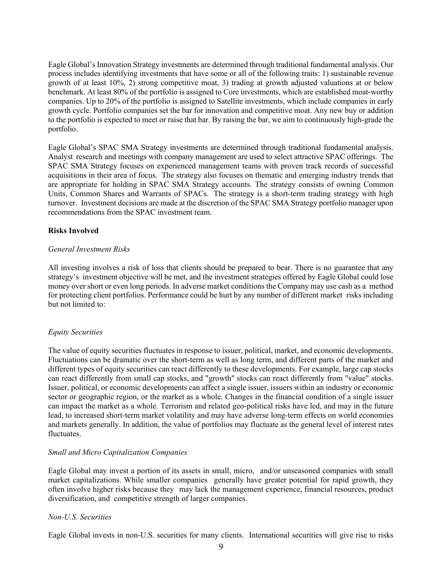Eagle Global's Innovation Strategy investments are determined through traditional fundamental analysis. Our process includes identifying investments that have some or all of the following traits: 1) sustainable revenue growth of at least 10%, 2) strong competitive moat, 3) trading at growth adjusted valuations at or below benchmark. At least 80% of the portfolio is assigned to Core investments, which are established moat-worthy companies. Up to 20% of the portfolio is assigned to Satellite investments, which include companies in early growth cycle. Portfolio companies set the bar for innovation and competitive moat. Any new buy or addition to the portfolio is expected to meet or raise that bar. By raising the bar, we aim to continuously high-grade the portfolio.

Eagle Global's SPAC SMA Strategy investments are determined through traditional fundamental analysis. Analyst research and meetings with company management are used to select attractive SPAC offerings. The SPAC SMA Strategy focuses on experienced management teams with proven track records of successful acquisitions in their area of focus. The strategy also focuses on thematic and emerging industry trends that are appropriate for holding in SPAC SMA Strategy accounts. The strategy consists of owning Common Units, Common Shares and Warrants of SPACs. The strategy is a short-term trading strategy with high turnover. Investment decisions are made at the discretion of the SPAC SMA Strategy portfolio manager upon recommendations from the SPAC investment team.

#### **Risks Involved**

#### *General Investment Risks*

All investing involves a risk of loss that clients should be prepared to bear. There is no guarantee that any strategy's investment objective will be met, and the investment strategies offered by Eagle Global could lose money over short or even long periods. In adverse market conditions the Company may use cash as a method for protecting client portfolios. Performance could be hurt by any number of different market risks including but not limited to:

#### *Equity Securities*

The value of equity securities fluctuates in response to issuer, political, market, and economic developments. Fluctuations can be dramatic over the short-term as well as long term, and different parts of the market and different types of equity securities can react differently to these developments. For example, large cap stocks can react differently from small cap stocks, and "growth" stocks can react differently from "value" stocks. Issuer, political, or economic developments can affect a single issuer, issuers within an industry or economic sector or geographic region, or the market as a whole. Changes in the financial condition of a single issuer can impact the market as a whole. Terrorism and related geo-political risks have led, and may in the future lead, to increased short-term market volatility and may have adverse long-term effects on world economies and markets generally. In addition, the value of portfolios may fluctuate as the general level of interest rates fluctuates.

#### *Small and Micro Capitalization Companies*

Eagle Global may invest a portion of its assets in small, micro, and/or unseasoned companies with small market capitalizations. While smaller companies generally have greater potential for rapid growth, they often involve higher risks because they may lack the management experience, financial resources, product diversification, and competitive strength of larger companies.

#### *Non-U.S. Securities*

Eagle Global invests in non-U.S. securities for many clients. International securities will give rise to risks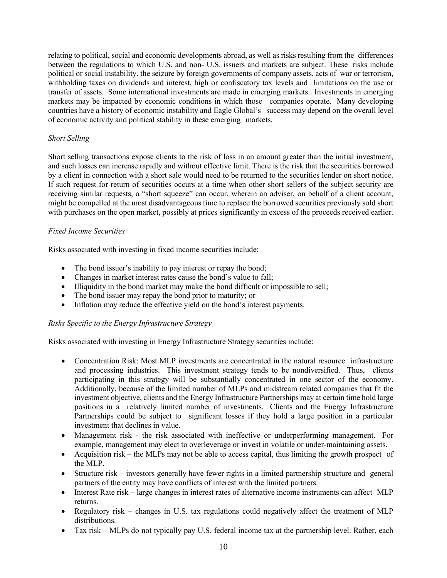relating to political, social and economic developments abroad, as well as risks resulting from the differences between the regulations to which U.S. and non- U.S. issuers and markets are subject. These risks include political or social instability, the seizure by foreign governments of company assets, acts of war or terrorism, withholding taxes on dividends and interest, high or confiscatory tax levels and limitations on the use or transfer of assets. Some international investments are made in emerging markets. Investments in emerging markets may be impacted by economic conditions in which those companies operate. Many developing countries have a history of economic instability and Eagle Global's success may depend on the overall level of economic activity and political stability in these emerging markets.

#### *Short Selling*

Short selling transactions expose clients to the risk of loss in an amount greater than the initial investment, and such losses can increase rapidly and without effective limit. There is the risk that the securities borrowed by a client in connection with a short sale would need to be returned to the securities lender on short notice. If such request for return of securities occurs at a time when other short sellers of the subject security are receiving similar requests, a "short squeeze" can occur, wherein an adviser, on behalf of a client account, might be compelled at the most disadvantageous time to replace the borrowed securities previously sold short with purchases on the open market, possibly at prices significantly in excess of the proceeds received earlier.

#### *Fixed Income Securities*

Risks associated with investing in fixed income securities include:

- The bond issuer's inability to pay interest or repay the bond;
- Changes in market interest rates cause the bond's value to fall;
- Illiquidity in the bond market may make the bond difficult or impossible to sell;
- The bond issuer may repay the bond prior to maturity; or
- Inflation may reduce the effective yield on the bond's interest payments.

#### *Risks Specific to the Energy Infrastructure Strategy*

Risks associated with investing in Energy Infrastructure Strategy securities include:

- Concentration Risk: Most MLP investments are concentrated in the natural resource infrastructure and processing industries. This investment strategy tends to be nondiversified. Thus, clients participating in this strategy will be substantially concentrated in one sector of the economy. Additionally, because of the limited number of MLPs and midstream related companies that fit the investment objective, clients and the Energy Infrastructure Partnerships may at certain time hold large positions in a relatively limited number of investments. Clients and the Energy Infrastructure Partnerships could be subject to significant losses if they hold a large position in a particular investment that declines in value.
- Management risk the risk associated with ineffective or underperforming management. For example, management may elect to overleverage or invest in volatile or under-maintaining assets.
- Acquisition risk the MLPs may not be able to access capital, thus limiting the growth prospect of the MLP.
- Structure risk investors generally have fewer rights in a limited partnership structure and general partners of the entity may have conflicts of interest with the limited partners.
- Interest Rate risk large changes in interest rates of alternative income instruments can affect MLP returns.
- Regulatory risk changes in U.S. tax regulations could negatively affect the treatment of MLP distributions.
- Tax risk MLPs do not typically pay U.S. federal income tax at the partnership level. Rather, each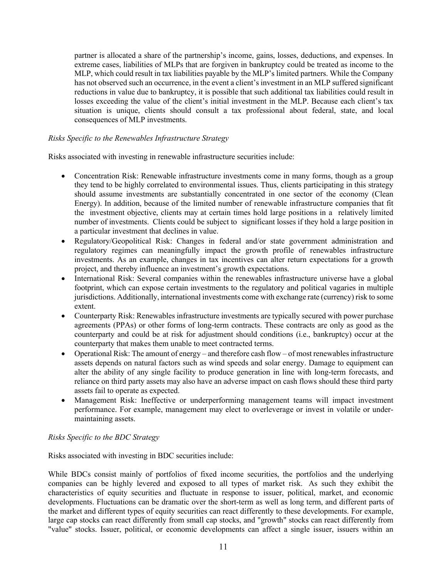partner is allocated a share of the partnership's income, gains, losses, deductions, and expenses. In extreme cases, liabilities of MLPs that are forgiven in bankruptcy could be treated as income to the MLP, which could result in tax liabilities payable by the MLP's limited partners. While the Company has not observed such an occurrence, in the event a client's investment in an MLP suffered significant reductions in value due to bankruptcy, it is possible that such additional tax liabilities could result in losses exceeding the value of the client's initial investment in the MLP. Because each client's tax situation is unique, clients should consult a tax professional about federal, state, and local consequences of MLP investments.

#### *Risks Specific to the Renewables Infrastructure Strategy*

Risks associated with investing in renewable infrastructure securities include:

- Concentration Risk: Renewable infrastructure investments come in many forms, though as a group they tend to be highly correlated to environmental issues. Thus, clients participating in this strategy should assume investments are substantially concentrated in one sector of the economy (Clean Energy). In addition, because of the limited number of renewable infrastructure companies that fit the investment objective, clients may at certain times hold large positions in a relatively limited number of investments. Clients could be subject to significant losses if they hold a large position in a particular investment that declines in value.
- Regulatory/Geopolitical Risk: Changes in federal and/or state government administration and regulatory regimes can meaningfully impact the growth profile of renewables infrastructure investments. As an example, changes in tax incentives can alter return expectations for a growth project, and thereby influence an investment's growth expectations.
- International Risk: Several companies within the renewables infrastructure universe have a global footprint, which can expose certain investments to the regulatory and political vagaries in multiple jurisdictions. Additionally, international investments come with exchange rate (currency) risk to some extent.
- Counterparty Risk: Renewables infrastructure investments are typically secured with power purchase agreements (PPAs) or other forms of long-term contracts. These contracts are only as good as the counterparty and could be at risk for adjustment should conditions (i.e., bankruptcy) occur at the counterparty that makes them unable to meet contracted terms.
- Operational Risk: The amount of energy and therefore cash flow of most renewables infrastructure assets depends on natural factors such as wind speeds and solar energy. Damage to equipment can alter the ability of any single facility to produce generation in line with long-term forecasts, and reliance on third party assets may also have an adverse impact on cash flows should these third party assets fail to operate as expected.
- Management Risk: Ineffective or underperforming management teams will impact investment performance. For example, management may elect to overleverage or invest in volatile or undermaintaining assets.

#### *Risks Specific to the BDC Strategy*

Risks associated with investing in BDC securities include:

While BDCs consist mainly of portfolios of fixed income securities, the portfolios and the underlying companies can be highly levered and exposed to all types of market risk. As such they exhibit the characteristics of equity securities and fluctuate in response to issuer, political, market, and economic developments. Fluctuations can be dramatic over the short-term as well as long term, and different parts of the market and different types of equity securities can react differently to these developments. For example, large cap stocks can react differently from small cap stocks, and "growth" stocks can react differently from "value" stocks. Issuer, political, or economic developments can affect a single issuer, issuers within an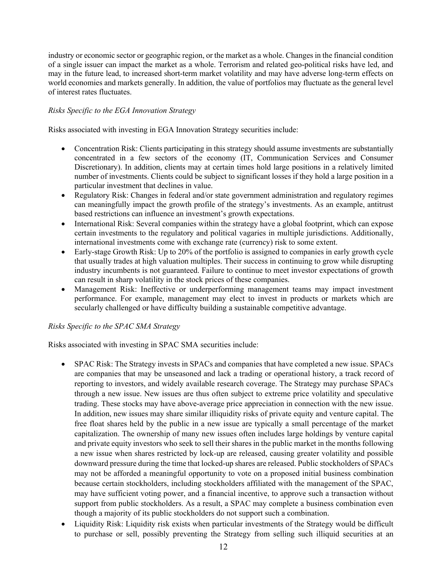industry or economic sector or geographic region, or the market as a whole. Changes in the financial condition of a single issuer can impact the market as a whole. Terrorism and related geo-political risks have led, and may in the future lead, to increased short-term market volatility and may have adverse long-term effects on world economies and markets generally. In addition, the value of portfolios may fluctuate as the general level of interest rates fluctuates.

#### *Risks Specific to the EGA Innovation Strategy*

Risks associated with investing in EGA Innovation Strategy securities include:

- Concentration Risk: Clients participating in this strategy should assume investments are substantially concentrated in a few sectors of the economy (IT, Communication Services and Consumer Discretionary). In addition, clients may at certain times hold large positions in a relatively limited number of investments. Clients could be subject to significant losses if they hold a large position in a particular investment that declines in value.
- Regulatory Risk: Changes in federal and/or state government administration and regulatory regimes can meaningfully impact the growth profile of the strategy's investments. As an example, antitrust based restrictions can influence an investment's growth expectations.
- International Risk: Several companies within the strategy have a global footprint, which can expose certain investments to the regulatory and political vagaries in multiple jurisdictions. Additionally, international investments come with exchange rate (currency) risk to some extent.
- Early-stage Growth Risk: Up to 20% of the portfolio is assigned to companies in early growth cycle that usually trades at high valuation multiples. Their success in continuing to grow while disrupting industry incumbents is not guaranteed. Failure to continue to meet investor expectations of growth can result in sharp volatility in the stock prices of these companies.
- Management Risk: Ineffective or underperforming management teams may impact investment performance. For example, management may elect to invest in products or markets which are secularly challenged or have difficulty building a sustainable competitive advantage.

#### *Risks Specific to the SPAC SMA Strategy*

Risks associated with investing in SPAC SMA securities include:

- SPAC Risk: The Strategy invests in SPACs and companies that have completed a new issue. SPACs are companies that may be unseasoned and lack a trading or operational history, a track record of reporting to investors, and widely available research coverage. The Strategy may purchase SPACs through a new issue. New issues are thus often subject to extreme price volatility and speculative trading. These stocks may have above-average price appreciation in connection with the new issue. In addition, new issues may share similar illiquidity risks of private equity and venture capital. The free float shares held by the public in a new issue are typically a small percentage of the market capitalization. The ownership of many new issues often includes large holdings by venture capital and private equity investors who seek to sell their shares in the public market in the months following a new issue when shares restricted by lock-up are released, causing greater volatility and possible downward pressure during the time that locked-up shares are released. Public stockholders of SPACs may not be afforded a meaningful opportunity to vote on a proposed initial business combination because certain stockholders, including stockholders affiliated with the management of the SPAC, may have sufficient voting power, and a financial incentive, to approve such a transaction without support from public stockholders. As a result, a SPAC may complete a business combination even though a majority of its public stockholders do not support such a combination.
- Liquidity Risk: Liquidity risk exists when particular investments of the Strategy would be difficult to purchase or sell, possibly preventing the Strategy from selling such illiquid securities at an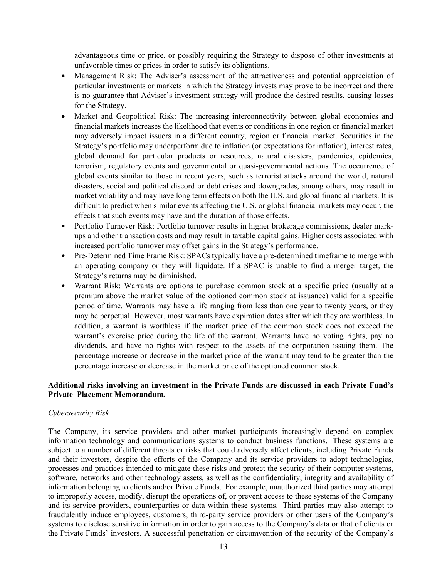advantageous time or price, or possibly requiring the Strategy to dispose of other investments at unfavorable times or prices in order to satisfy its obligations.

- Management Risk: The Adviser's assessment of the attractiveness and potential appreciation of particular investments or markets in which the Strategy invests may prove to be incorrect and there is no guarantee that Adviser's investment strategy will produce the desired results, causing losses for the Strategy.
- Market and Geopolitical Risk: The increasing interconnectivity between global economies and financial markets increases the likelihood that events or conditions in one region or financial market may adversely impact issuers in a different country, region or financial market. Securities in the Strategy's portfolio may underperform due to inflation (or expectations for inflation), interest rates, global demand for particular products or resources, natural disasters, pandemics, epidemics, terrorism, regulatory events and governmental or quasi-governmental actions. The occurrence of global events similar to those in recent years, such as terrorist attacks around the world, natural disasters, social and political discord or debt crises and downgrades, among others, may result in market volatility and may have long term effects on both the U.S. and global financial markets. It is difficult to predict when similar events affecting the U.S. or global financial markets may occur, the effects that such events may have and the duration of those effects.
- Portfolio Turnover Risk: Portfolio turnover results in higher brokerage commissions, dealer markups and other transaction costs and may result in taxable capital gains. Higher costs associated with increased portfolio turnover may offset gains in the Strategy's performance.
- Pre-Determined Time Frame Risk: SPACs typically have a pre-determined timeframe to merge with an operating company or they will liquidate. If a SPAC is unable to find a merger target, the Strategy's returns may be diminished.
- Warrant Risk: Warrants are options to purchase common stock at a specific price (usually at a premium above the market value of the optioned common stock at issuance) valid for a specific period of time. Warrants may have a life ranging from less than one year to twenty years, or they may be perpetual. However, most warrants have expiration dates after which they are worthless. In addition, a warrant is worthless if the market price of the common stock does not exceed the warrant's exercise price during the life of the warrant. Warrants have no voting rights, pay no dividends, and have no rights with respect to the assets of the corporation issuing them. The percentage increase or decrease in the market price of the warrant may tend to be greater than the percentage increase or decrease in the market price of the optioned common stock.

#### **Additional risks involving an investment in the Private Funds are discussed in each Private Fund's Private Placement Memorandum.**

#### *Cybersecurity Risk*

The Company, its service providers and other market participants increasingly depend on complex information technology and communications systems to conduct business functions. These systems are subject to a number of different threats or risks that could adversely affect clients, including Private Funds and their investors, despite the efforts of the Company and its service providers to adopt technologies, processes and practices intended to mitigate these risks and protect the security of their computer systems, software, networks and other technology assets, as well as the confidentiality, integrity and availability of information belonging to clients and/or Private Funds. For example, unauthorized third parties may attempt to improperly access, modify, disrupt the operations of, or prevent access to these systems of the Company and its service providers, counterparties or data within these systems. Third parties may also attempt to fraudulently induce employees, customers, third-party service providers or other users of the Company's systems to disclose sensitive information in order to gain access to the Company's data or that of clients or the Private Funds' investors. A successful penetration or circumvention of the security of the Company's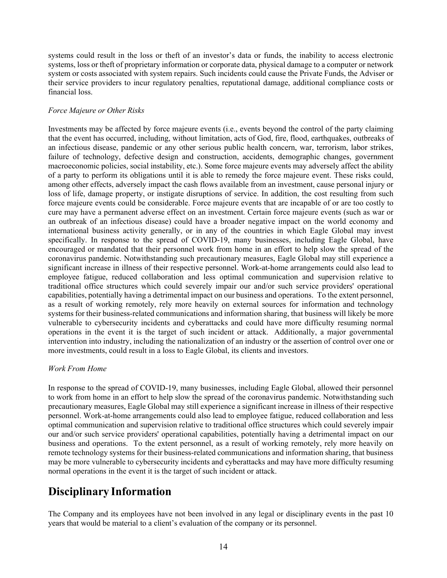systems could result in the loss or theft of an investor's data or funds, the inability to access electronic systems, loss or theft of proprietary information or corporate data, physical damage to a computer or network system or costs associated with system repairs. Such incidents could cause the Private Funds, the Adviser or their service providers to incur regulatory penalties, reputational damage, additional compliance costs or financial loss.

#### *Force Majeure or Other Risks*

Investments may be affected by force majeure events (i.e., events beyond the control of the party claiming that the event has occurred, including, without limitation, acts of God, fire, flood, earthquakes, outbreaks of an infectious disease, pandemic or any other serious public health concern, war, terrorism, labor strikes, failure of technology, defective design and construction, accidents, demographic changes, government macroeconomic policies, social instability, etc.). Some force majeure events may adversely affect the ability of a party to perform its obligations until it is able to remedy the force majeure event. These risks could, among other effects, adversely impact the cash flows available from an investment, cause personal injury or loss of life, damage property, or instigate disruptions of service. In addition, the cost resulting from such force majeure events could be considerable. Force majeure events that are incapable of or are too costly to cure may have a permanent adverse effect on an investment. Certain force majeure events (such as war or an outbreak of an infectious disease) could have a broader negative impact on the world economy and international business activity generally, or in any of the countries in which Eagle Global may invest specifically. In response to the spread of COVID-19, many businesses, including Eagle Global, have encouraged or mandated that their personnel work from home in an effort to help slow the spread of the coronavirus pandemic. Notwithstanding such precautionary measures, Eagle Global may still experience a significant increase in illness of their respective personnel. Work-at-home arrangements could also lead to employee fatigue, reduced collaboration and less optimal communication and supervision relative to traditional office structures which could severely impair our and/or such service providers' operational capabilities, potentially having a detrimental impact on our business and operations. To the extent personnel, as a result of working remotely, rely more heavily on external sources for information and technology systems for their business-related communications and information sharing, that business will likely be more vulnerable to cybersecurity incidents and cyberattacks and could have more difficulty resuming normal operations in the event it is the target of such incident or attack. Additionally, a major governmental intervention into industry, including the nationalization of an industry or the assertion of control over one or more investments, could result in a loss to Eagle Global, its clients and investors.

#### *Work From Home*

In response to the spread of COVID-19, many businesses, including Eagle Global, allowed their personnel to work from home in an effort to help slow the spread of the coronavirus pandemic. Notwithstanding such precautionary measures, Eagle Global may still experience a significant increase in illness of their respective personnel. Work-at-home arrangements could also lead to employee fatigue, reduced collaboration and less optimal communication and supervision relative to traditional office structures which could severely impair our and/or such service providers' operational capabilities, potentially having a detrimental impact on our business and operations. To the extent personnel, as a result of working remotely, rely more heavily on remote technology systems for their business-related communications and information sharing, that business may be more vulnerable to cybersecurity incidents and cyberattacks and may have more difficulty resuming normal operations in the event it is the target of such incident or attack.

# <span id="page-15-0"></span>**Disciplinary Information**

The Company and its employees have not been involved in any legal or disciplinary events in the past 10 years that would be material to a client's evaluation of the company or its personnel.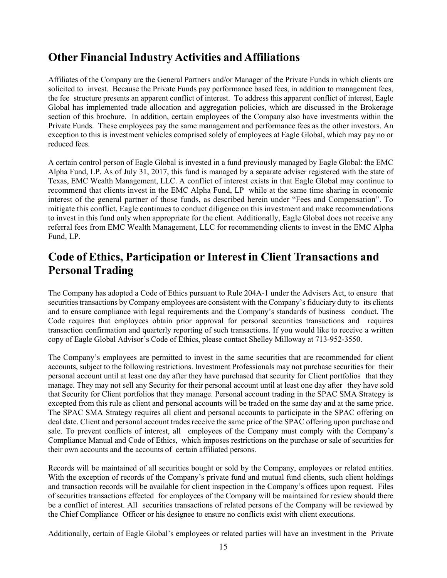### <span id="page-16-0"></span>**Other Financial Industry Activities and Affiliations**

Affiliates of the Company are the General Partners and/or Manager of the Private Funds in which clients are solicited to invest. Because the Private Funds pay performance based fees, in addition to management fees, the fee structure presents an apparent conflict of interest. To address this apparent conflict of interest, Eagle Global has implemented trade allocation and aggregation policies, which are discussed in the Brokerage section of this brochure. In addition, certain employees of the Company also have investments within the Private Funds. These employees pay the same management and performance fees as the other investors. An exception to this is investment vehicles comprised solely of employees at Eagle Global, which may pay no or reduced fees.

A certain control person of Eagle Global is invested in a fund previously managed by Eagle Global: the EMC Alpha Fund, LP. As of July 31, 2017, this fund is managed by a separate adviser registered with the state of Texas, EMC Wealth Management, LLC. A conflict of interest exists in that Eagle Global may continue to recommend that clients invest in the EMC Alpha Fund, LP while at the same time sharing in economic interest of the general partner of those funds, as described herein under "Fees and Compensation". To mitigate this conflict, Eagle continues to conduct diligence on this investment and make recommendations to invest in this fund only when appropriate for the client. Additionally, Eagle Global does not receive any referral fees from EMC Wealth Management, LLC for recommending clients to invest in the EMC Alpha Fund, LP.

### <span id="page-16-1"></span>**Code of Ethics, Participation or Interest in Client Transactions and Personal Trading**

The Company has adopted a Code of Ethics pursuant to Rule 204A-1 under the Advisers Act, to ensure that securities transactions by Company employees are consistent with the Company's fiduciary duty to its clients and to ensure compliance with legal requirements and the Company's standards of business conduct. The Code requires that employees obtain prior approval for personal securities transactions and requires transaction confirmation and quarterly reporting of such transactions. If you would like to receive a written copy of Eagle Global Advisor's Code of Ethics, please contact Shelley Milloway at 713-952-3550.

The Company's employees are permitted to invest in the same securities that are recommended for client accounts, subject to the following restrictions. Investment Professionals may not purchase securities for their personal account until at least one day after they have purchased that security for Client portfolios that they manage. They may not sell any Security for their personal account until at least one day after they have sold that Security for Client portfolios that they manage. Personal account trading in the SPAC SMA Strategy is excepted from this rule as client and personal accounts will be traded on the same day and at the same price. The SPAC SMA Strategy requires all client and personal accounts to participate in the SPAC offering on deal date. Client and personal account trades receive the same price of the SPAC offering upon purchase and sale. To prevent conflicts of interest, all employees of the Company must comply with the Company's Compliance Manual and Code of Ethics, which imposes restrictions on the purchase or sale of securities for their own accounts and the accounts of certain affiliated persons.

Records will be maintained of all securities bought or sold by the Company, employees or related entities. With the exception of records of the Company's private fund and mutual fund clients, such client holdings and transaction records will be available for client inspection in the Company's offices upon request. Files of securities transactions effected for employees of the Company will be maintained for review should there be a conflict of interest. All securities transactions of related persons of the Company will be reviewed by the Chief Compliance Officer or his designee to ensure no conflicts exist with client executions.

Additionally, certain of Eagle Global's employees or related parties will have an investment in the Private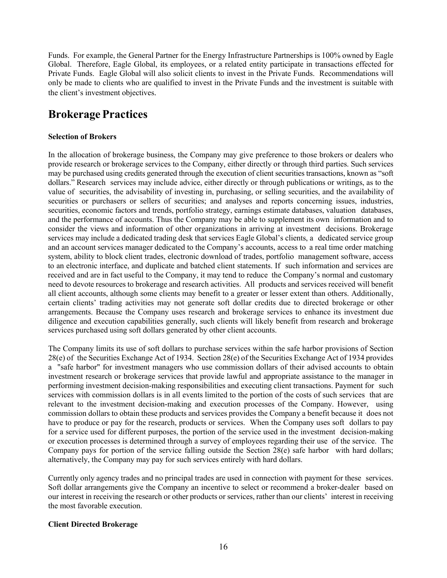Funds. For example, the General Partner for the Energy Infrastructure Partnerships is 100% owned by Eagle Global. Therefore, Eagle Global, its employees, or a related entity participate in transactions effected for Private Funds. Eagle Global will also solicit clients to invest in the Private Funds. Recommendations will only be made to clients who are qualified to invest in the Private Funds and the investment is suitable with the client's investment objectives.

### <span id="page-17-0"></span>**Brokerage Practices**

#### **Selection of Brokers**

In the allocation of brokerage business, the Company may give preference to those brokers or dealers who provide research or brokerage services to the Company, either directly or through third parties. Such services may be purchased using credits generated through the execution of client securities transactions, known as "soft dollars." Research services may include advice, either directly or through publications or writings, as to the value of securities, the advisability of investing in, purchasing, or selling securities, and the availability of securities or purchasers or sellers of securities; and analyses and reports concerning issues, industries, securities, economic factors and trends, portfolio strategy, earnings estimate databases, valuation databases, and the performance of accounts. Thus the Company may be able to supplement its own information and to consider the views and information of other organizations in arriving at investment decisions. Brokerage services may include a dedicated trading desk that services Eagle Global's clients, a dedicated service group and an account services manager dedicated to the Company's accounts, access to a real time order matching system, ability to block client trades, electronic download of trades, portfolio management software, access to an electronic interface, and duplicate and batched client statements. If such information and services are received and are in fact useful to the Company, it may tend to reduce the Company's normal and customary need to devote resources to brokerage and research activities. All products and services received will benefit all client accounts, although some clients may benefit to a greater or lesser extent than others. Additionally, certain clients' trading activities may not generate soft dollar credits due to directed brokerage or other arrangements. Because the Company uses research and brokerage services to enhance its investment due diligence and execution capabilities generally, such clients will likely benefit from research and brokerage services purchased using soft dollars generated by other client accounts.

The Company limits its use of soft dollars to purchase services within the safe harbor provisions of Section 28(e) of the Securities Exchange Act of 1934. Section 28(e) of the Securities Exchange Act of 1934 provides a "safe harbor" for investment managers who use commission dollars of their advised accounts to obtain investment research or brokerage services that provide lawful and appropriate assistance to the manager in performing investment decision-making responsibilities and executing client transactions. Payment for such services with commission dollars is in all events limited to the portion of the costs of such services that are relevant to the investment decision-making and execution processes of the Company. However, using commission dollars to obtain these products and services provides the Company a benefit because it does not have to produce or pay for the research, products or services. When the Company uses soft dollars to pay for a service used for different purposes, the portion of the service used in the investment decision-making or execution processes is determined through a survey of employees regarding their use of the service. The Company pays for portion of the service falling outside the Section 28(e) safe harbor with hard dollars; alternatively, the Company may pay for such services entirely with hard dollars.

Currently only agency trades and no principal trades are used in connection with payment for these services. Soft dollar arrangements give the Company an incentive to select or recommend a broker-dealer based on our interest in receiving the research or other products or services, rather than our clients' interest in receiving the most favorable execution.

#### **Client Directed Brokerage**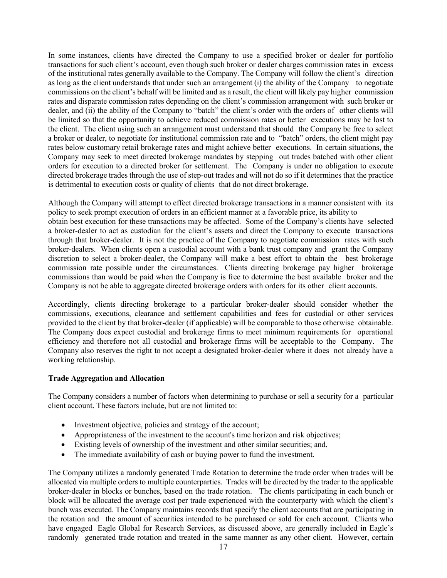In some instances, clients have directed the Company to use a specified broker or dealer for portfolio transactions for such client's account, even though such broker or dealer charges commission rates in excess of the institutional rates generally available to the Company. The Company will follow the client's direction as long as the client understands that under such an arrangement (i) the ability of the Company to negotiate commissions on the client's behalf will be limited and as a result, the client will likely pay higher commission rates and disparate commission rates depending on the client's commission arrangement with such broker or dealer, and (ii) the ability of the Company to "batch" the client's order with the orders of other clients will be limited so that the opportunity to achieve reduced commission rates or better executions may be lost to the client. The client using such an arrangement must understand that should the Company be free to select a broker or dealer, to negotiate for institutional commission rate and to "batch" orders, the client might pay rates below customary retail brokerage rates and might achieve better executions. In certain situations, the Company may seek to meet directed brokerage mandates by stepping out trades batched with other client orders for execution to a directed broker for settlement. The Company is under no obligation to execute directed brokerage trades through the use of step-out trades and will not do so if it determines that the practice is detrimental to execution costs or quality of clients that do not direct brokerage.

Although the Company will attempt to effect directed brokerage transactions in a manner consistent with its policy to seek prompt execution of orders in an efficient manner at a favorable price, its ability to

obtain best execution for these transactions may be affected. Some of the Company's clients have selected a broker-dealer to act as custodian for the client's assets and direct the Company to execute transactions through that broker-dealer. It is not the practice of the Company to negotiate commission rates with such broker-dealers. When clients open a custodial account with a bank trust company and grant the Company discretion to select a broker-dealer, the Company will make a best effort to obtain the best brokerage commission rate possible under the circumstances. Clients directing brokerage pay higher brokerage commissions than would be paid when the Company is free to determine the best available broker and the Company is not be able to aggregate directed brokerage orders with orders for its other client accounts.

Accordingly, clients directing brokerage to a particular broker-dealer should consider whether the commissions, executions, clearance and settlement capabilities and fees for custodial or other services provided to the client by that broker-dealer (if applicable) will be comparable to those otherwise obtainable. The Company does expect custodial and brokerage firms to meet minimum requirements for operational efficiency and therefore not all custodial and brokerage firms will be acceptable to the Company. The Company also reserves the right to not accept a designated broker-dealer where it does not already have a working relationship.

#### **Trade Aggregation and Allocation**

The Company considers a number of factors when determining to purchase or sell a security for a particular client account. These factors include, but are not limited to:

- Investment objective, policies and strategy of the account;
- Appropriateness of the investment to the account's time horizon and risk objectives;
- Existing levels of ownership of the investment and other similar securities; and,
- The immediate availability of cash or buying power to fund the investment.

The Company utilizes a randomly generated Trade Rotation to determine the trade order when trades will be allocated via multiple orders to multiple counterparties. Trades will be directed by the trader to the applicable broker-dealer in blocks or bunches, based on the trade rotation. The clients participating in each bunch or block will be allocated the average cost per trade experienced with the counterparty with which the client's bunch was executed. The Company maintains records that specify the client accounts that are participating in the rotation and the amount of securities intended to be purchased or sold for each account. Clients who have engaged Eagle Global for Research Services, as discussed above, are generally included in Eagle's randomly generated trade rotation and treated in the same manner as any other client. However, certain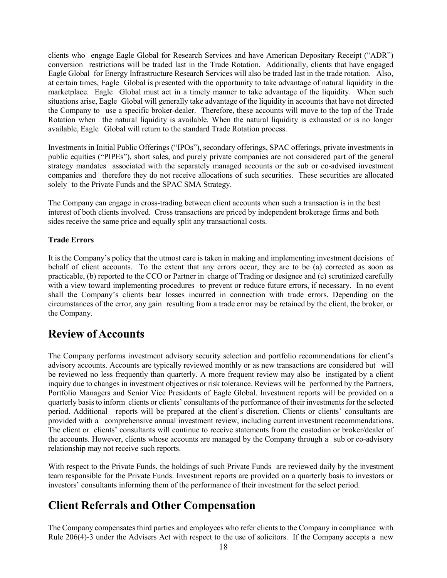clients who engage Eagle Global for Research Services and have American Depositary Receipt ("ADR") conversion restrictions will be traded last in the Trade Rotation. Additionally, clients that have engaged Eagle Global for Energy Infrastructure Research Services will also be traded last in the trade rotation. Also, at certain times, Eagle Global is presented with the opportunity to take advantage of natural liquidity in the marketplace. Eagle Global must act in a timely manner to take advantage of the liquidity. When such situations arise, Eagle Global will generally take advantage of the liquidity in accounts that have not directed the Company to use a specific broker-dealer. Therefore, these accounts will move to the top of the Trade Rotation when the natural liquidity is available. When the natural liquidity is exhausted or is no longer available, Eagle Global will return to the standard Trade Rotation process.

Investments in Initial Public Offerings ("IPOs"), secondary offerings, SPAC offerings, private investments in public equities ("PIPEs"), short sales, and purely private companies are not considered part of the general strategy mandates associated with the separately managed accounts or the sub or co-advised investment companies and therefore they do not receive allocations of such securities. These securities are allocated solely to the Private Funds and the SPAC SMA Strategy.

The Company can engage in cross-trading between client accounts when such a transaction is in the best interest of both clients involved. Cross transactions are priced by independent brokerage firms and both sides receive the same price and equally split any transactional costs.

#### **Trade Errors**

It is the Company's policy that the utmost care is taken in making and implementing investment decisions of behalf of client accounts. To the extent that any errors occur, they are to be (a) corrected as soon as practicable, (b) reported to the CCO or Partner in charge of Trading or designee and (c) scrutinized carefully with a view toward implementing procedures to prevent or reduce future errors, if necessary. In no event shall the Company's clients bear losses incurred in connection with trade errors. Depending on the circumstances of the error, any gain resulting from a trade error may be retained by the client, the broker, or the Company.

### <span id="page-19-0"></span>**Review of Accounts**

The Company performs investment advisory security selection and portfolio recommendations for client's advisory accounts. Accounts are typically reviewed monthly or as new transactions are considered but will be reviewed no less frequently than quarterly. A more frequent review may also be instigated by a client inquiry due to changes in investment objectives or risk tolerance. Reviews will be performed by the Partners, Portfolio Managers and Senior Vice Presidents of Eagle Global. Investment reports will be provided on a quarterly basis to inform clients or clients' consultants of the performance of their investmentsfor the selected period. Additional reports will be prepared at the client's discretion. Clients or clients' consultants are provided with a comprehensive annual investment review, including current investment recommendations. The client or clients' consultants will continue to receive statements from the custodian or broker/dealer of the accounts. However, clients whose accounts are managed by the Company through a sub or co-advisory relationship may not receive such reports.

With respect to the Private Funds, the holdings of such Private Funds are reviewed daily by the investment team responsible for the Private Funds. Investment reports are provided on a quarterly basis to investors or investors' consultants informing them of the performance of their investment for the select period.

### <span id="page-19-1"></span>**Client Referrals and Other Compensation**

The Company compensatesthird parties and employees who refer clients to the Company in compliance with Rule 206(4)-3 under the Advisers Act with respect to the use of solicitors. If the Company accepts a new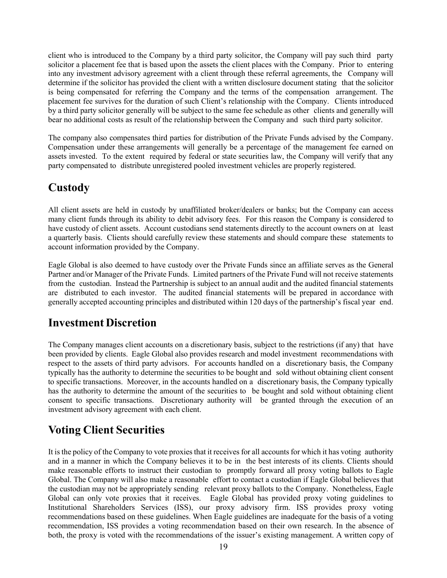client who is introduced to the Company by a third party solicitor, the Company will pay such third party solicitor a placement fee that is based upon the assets the client places with the Company. Prior to entering into any investment advisory agreement with a client through these referral agreements, the Company will determine if the solicitor has provided the client with a written disclosure document stating that the solicitor is being compensated for referring the Company and the terms of the compensation arrangement. The placement fee survives for the duration of such Client's relationship with the Company. Clients introduced by a third party solicitor generally will be subject to the same fee schedule as other clients and generally will bear no additional costs as result of the relationship between the Company and such third party solicitor.

The company also compensates third parties for distribution of the Private Funds advised by the Company. Compensation under these arrangements will generally be a percentage of the management fee earned on assets invested. To the extent required by federal or state securities law, the Company will verify that any party compensated to distribute unregistered pooled investment vehicles are properly registered.

### <span id="page-20-0"></span>**Custody**

All client assets are held in custody by unaffiliated broker/dealers or banks; but the Company can access many client funds through its ability to debit advisory fees. For this reason the Company is considered to have custody of client assets. Account custodians send statements directly to the account owners on at least a quarterly basis. Clients should carefully review these statements and should compare these statements to account information provided by the Company.

Eagle Global is also deemed to have custody over the Private Funds since an affiliate serves as the General Partner and/or Manager of the Private Funds. Limited partners of the Private Fund will not receive statements from the custodian. Instead the Partnership is subject to an annual audit and the audited financial statements are distributed to each investor. The audited financial statements will be prepared in accordance with generally accepted accounting principles and distributed within 120 days of the partnership's fiscal year end.

### <span id="page-20-1"></span>**Investment Discretion**

The Company manages client accounts on a discretionary basis, subject to the restrictions (if any) that have been provided by clients. Eagle Global also provides research and model investment recommendations with respect to the assets of third party advisors. For accounts handled on a discretionary basis, the Company typically has the authority to determine the securities to be bought and sold without obtaining client consent to specific transactions. Moreover, in the accounts handled on a discretionary basis, the Company typically has the authority to determine the amount of the securities to be bought and sold without obtaining client consent to specific transactions. Discretionary authority will be granted through the execution of an investment advisory agreement with each client.

# <span id="page-20-2"></span>**Voting Client Securities**

It is the policy of the Company to vote proxies that it receives for all accounts for which it has voting authority and in a manner in which the Company believes it to be in the best interests of its clients. Clients should make reasonable efforts to instruct their custodian to promptly forward all proxy voting ballots to Eagle Global. The Company will also make a reasonable effort to contact a custodian if Eagle Global believes that the custodian may not be appropriately sending relevant proxy ballots to the Company. Nonetheless, Eagle Global can only vote proxies that it receives. Eagle Global has provided proxy voting guidelines to Institutional Shareholders Services (ISS), our proxy advisory firm. ISS provides proxy voting recommendations based on these guidelines. When Eagle guidelines are inadequate for the basis of a voting recommendation, ISS provides a voting recommendation based on their own research. In the absence of both, the proxy is voted with the recommendations of the issuer's existing management. A written copy of